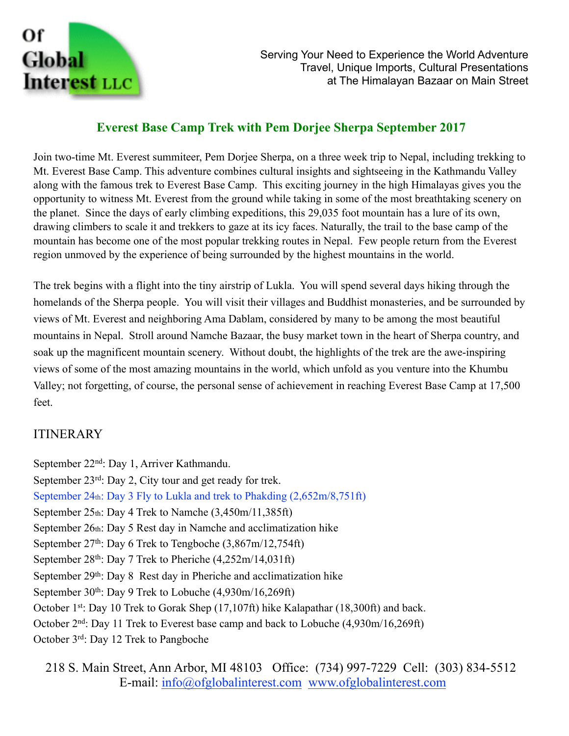

# **Everest Base Camp Trek with Pem Dorjee Sherpa September 2017**

Join two-time Mt. Everest summiteer, Pem Dorjee Sherpa, on a three week trip to Nepal, including trekking to Mt. Everest Base Camp. This adventure combines cultural insights and sightseeing in the Kathmandu Valley along with the famous trek to Everest Base Camp. This exciting journey in the high Himalayas gives you the opportunity to witness Mt. Everest from the ground while taking in some of the most breathtaking scenery on the planet. Since the days of early climbing expeditions, this 29,035 foot mountain has a lure of its own, drawing climbers to scale it and trekkers to gaze at its icy faces. Naturally, the trail to the base camp of the mountain has become one of the most popular trekking routes in Nepal. Few people return from the Everest region unmoved by the experience of being surrounded by the highest mountains in the world.

The trek begins with a flight into the tiny airstrip of Lukla. You will spend several days hiking through the homelands of the Sherpa people. You will visit their villages and Buddhist monasteries, and be surrounded by views of Mt. Everest and neighboring Ama Dablam, considered by many to be among the most beautiful mountains in Nepal. Stroll around Namche Bazaar, the busy market town in the heart of Sherpa country, and soak up the magnificent mountain scenery. Without doubt, the highlights of the trek are the awe-inspiring views of some of the most amazing mountains in the world, which unfold as you venture into the Khumbu Valley; not forgetting, of course, the personal sense of achievement in reaching Everest Base Camp at 17,500 feet.

### ITINERARY

September 22nd: Day 1, Arriver Kathmandu. September 23<sup>rd</sup>: Day 2, City tour and get ready for trek. September 24th: Day 3 Fly to Lukla and trek to Phakding (2,652m/8,751ft) September  $25<sub>th</sub>$ : Day 4 Trek to Namche  $(3,450<sub>m</sub>/11,385ft)$ September 26th: Day 5 Rest day in Namche and acclimatization hike September 27<sup>th</sup>: Day 6 Trek to Tengboche (3,867m/12,754ft) September 28th: Day 7 Trek to Pheriche (4,252m/14,031ft) September 29<sup>th</sup>: Day 8 Rest day in Pheriche and acclimatization hike September  $30<sup>th</sup>$ : Day 9 Trek to Lobuche (4,930m/16,269ft) October 1st: Day 10 Trek to Gorak Shep (17,107ft) hike Kalapathar (18,300ft) and back. October 2nd: Day 11 Trek to Everest base camp and back to Lobuche (4,930m/16,269ft) October 3rd: Day 12 Trek to Pangboche

218 S. Main Street, Ann Arbor, MI 48103 Office: (734) 997-7229 Cell: (303) 834-5512 E-mail: [info@ofglobalinterest.com](mailto:info@ofglobalinterest.com) [www.ofglobalinterest.com](http://www.ofglobalinterest.com)